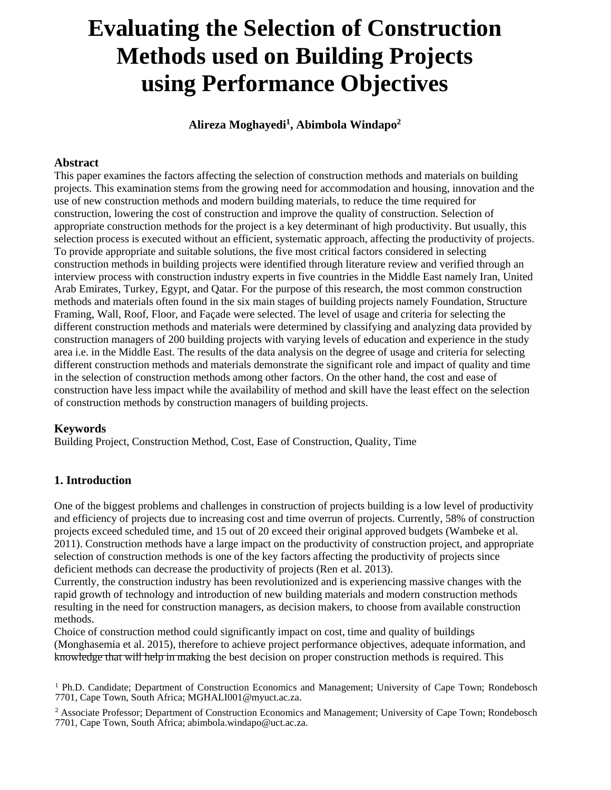# **Evaluating the Selection of Construction Methods used on Building Projects using Performance Objectives**

**Alireza Moghayedi<sup>1</sup> , Abimbola Windapo<sup>2</sup>**

## **Abstract**

This paper examines the factors affecting the selection of construction methods and materials on building projects. This examination stems from the growing need for accommodation and housing, innovation and the use of new construction methods and modern building materials, to reduce the time required for construction, lowering the cost of construction and improve the quality of construction. Selection of appropriate construction methods for the project is a key determinant of high productivity. But usually, this selection process is executed without an efficient, systematic approach, affecting the productivity of projects. To provide appropriate and suitable solutions, the five most critical factors considered in selecting construction methods in building projects were identified through literature review and verified through an interview process with construction industry experts in five countries in the Middle East namely Iran, United Arab Emirates, Turkey, Egypt, and Qatar. For the purpose of this research, the most common construction methods and materials often found in the six main stages of building projects namely Foundation, Structure Framing, Wall, Roof, Floor, and Façade were selected. The level of usage and criteria for selecting the different construction methods and materials were determined by classifying and analyzing data provided by construction managers of 200 building projects with varying levels of education and experience in the study area i.e. in the Middle East. The results of the data analysis on the degree of usage and criteria for selecting different construction methods and materials demonstrate the significant role and impact of quality and time in the selection of construction methods among other factors. On the other hand, the cost and ease of construction have less impact while the availability of method and skill have the least effect on the selection of construction methods by construction managers of building projects.

## **Keywords**

Building Project, Construction Method, Cost, Ease of Construction, Quality, Time

## **1. Introduction**

One of the biggest problems and challenges in construction of projects building is a low level of productivity and efficiency of projects due to increasing cost and time overrun of projects. Currently, 58% of construction projects exceed scheduled time, and 15 out of 20 exceed their original approved budgets (Wambeke et al. 2011). Construction methods have a large impact on the productivity of construction project, and appropriate selection of construction methods is one of the key factors affecting the productivity of projects since deficient methods can decrease the productivity of projects (Ren et al. 2013).

Currently, the construction industry has been revolutionized and is experiencing massive changes with the rapid growth of technology and introduction of new building materials and modern construction methods resulting in the need for construction managers, as decision makers, to choose from available construction methods.

Choice of construction method could significantly impact on cost, time and quality of buildings (Monghasemia et al. 2015), therefore to achieve project performance objectives, adequate information, and knowledge that will help in making the best decision on proper construction methods is required. This

<sup>1</sup> Ph.D. Candidate; Department of Construction Economics and Management; University of Cape Town; Rondebosch 7701, Cape Town, South Africa; MGHALI001@myuct.ac.za.

<sup>2</sup> Associate Professor; Department of Construction Economics and Management; University of Cape Town; Rondebosch 7701, Cape Town, South Africa; abimbola.windapo@uct.ac.za.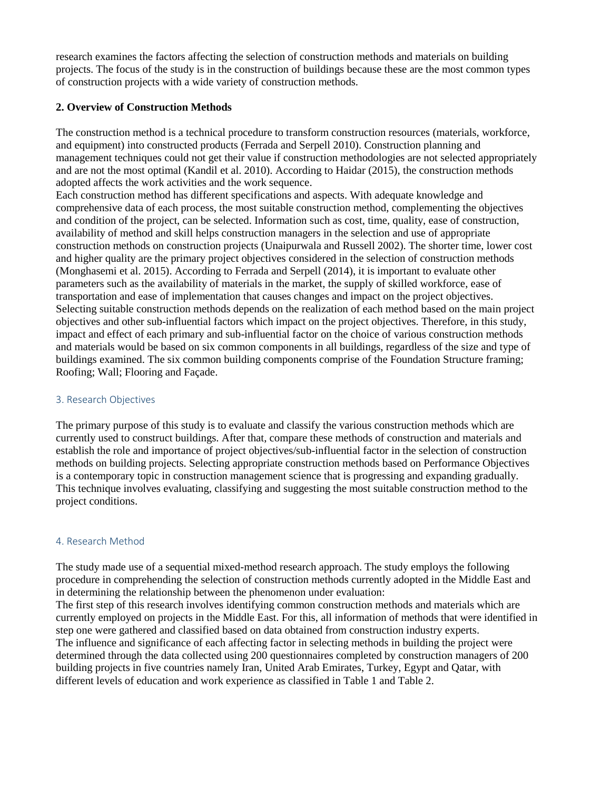research examines the factors affecting the selection of construction methods and materials on building projects. The focus of the study is in the construction of buildings because these are the most common types of construction projects with a wide variety of construction methods.

## **2. Overview of Construction Methods**

The construction method is a technical procedure to transform construction resources (materials, workforce, and equipment) into constructed products (Ferrada and Serpell 2010). Construction planning and management techniques could not get their value if construction methodologies are not selected appropriately and are not the most optimal (Kandil et al. 2010). According to Haidar (2015), the construction methods adopted affects the work activities and the work sequence.

Each construction method has different specifications and aspects. With adequate knowledge and comprehensive data of each process, the most suitable construction method, complementing the objectives and condition of the project, can be selected. Information such as cost, time, quality, ease of construction, availability of method and skill helps construction managers in the selection and use of appropriate construction methods on construction projects (Unaipurwala and Russell 2002). The shorter time, lower cost and higher quality are the primary project objectives considered in the selection of construction methods (Monghasemi et al. 2015). According to Ferrada and Serpell (2014), it is important to evaluate other parameters such as the availability of materials in the market, the supply of skilled workforce, ease of transportation and ease of implementation that causes changes and impact on the project objectives. Selecting suitable construction methods depends on the realization of each method based on the main project objectives and other sub-influential factors which impact on the project objectives. Therefore, in this study, impact and effect of each primary and sub-influential factor on the choice of various construction methods and materials would be based on six common components in all buildings, regardless of the size and type of buildings examined. The six common building components comprise of the Foundation Structure framing; Roofing; Wall; Flooring and Façade.

#### 3. Research Objectives

The primary purpose of this study is to evaluate and classify the various construction methods which are currently used to construct buildings. After that, compare these methods of construction and materials and establish the role and importance of project objectives/sub-influential factor in the selection of construction methods on building projects. Selecting appropriate construction methods based on Performance Objectives is a contemporary topic in construction management science that is progressing and expanding gradually. This technique involves evaluating, classifying and suggesting the most suitable construction method to the project conditions.

### 4. Research Method

The study made use of a sequential mixed-method research approach. The study employs the following procedure in comprehending the selection of construction methods currently adopted in the Middle East and in determining the relationship between the phenomenon under evaluation:

The first step of this research involves identifying common construction methods and materials which are currently employed on projects in the Middle East. For this, all information of methods that were identified in step one were gathered and classified based on data obtained from construction industry experts. The influence and significance of each affecting factor in selecting methods in building the project were determined through the data collected using 200 questionnaires completed by construction managers of 200 building projects in five countries namely Iran, United Arab Emirates, Turkey, Egypt and Qatar, with different levels of education and work experience as classified in Table 1 and Table 2.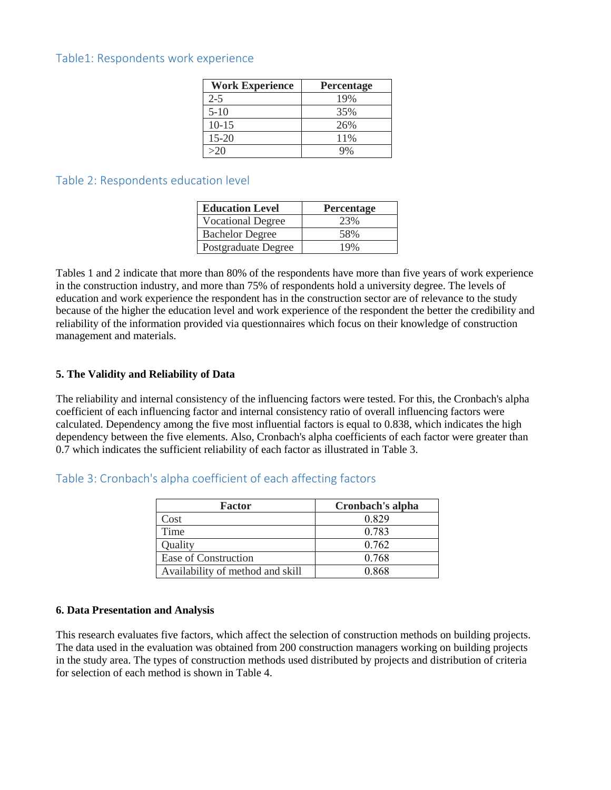## Table1: Respondents work experience

| <b>Work Experience</b> | Percentage |
|------------------------|------------|
| $2 - 5$                | 19%        |
| $5 - 10$               | 35%        |
| $10-15$                | 26%        |
| $15 - 20$              | 11%        |
| >20                    |            |

## Table 2: Respondents education level

| <b>Education Level</b>   | Percentage |
|--------------------------|------------|
| <b>Vocational Degree</b> | 23%        |
| <b>Bachelor Degree</b>   | 58%        |
| Postgraduate Degree      | 19%        |

Tables 1 and 2 indicate that more than 80% of the respondents have more than five years of work experience in the construction industry, and more than 75% of respondents hold a university degree. The levels of education and work experience the respondent has in the construction sector are of relevance to the study because of the higher the education level and work experience of the respondent the better the credibility and reliability of the information provided via questionnaires which focus on their knowledge of construction management and materials.

## **5. The Validity and Reliability of Data**

The reliability and internal consistency of the influencing factors were tested. For this, the Cronbach's alpha coefficient of each influencing factor and internal consistency ratio of overall influencing factors were calculated. Dependency among the five most influential factors is equal to 0.838, which indicates the high dependency between the five elements. Also, Cronbach's alpha coefficients of each factor were greater than 0.7 which indicates the sufficient reliability of each factor as illustrated in Table 3.

## Table 3: Cronbach's alpha coefficient of each affecting factors

| Factor                           | Cronbach's alpha |
|----------------------------------|------------------|
| Cost                             | 0.829            |
| Time                             | 0.783            |
| Quality                          | 0.762            |
| Ease of Construction             | 0.768            |
| Availability of method and skill | 0.868            |

### **6. Data Presentation and Analysis**

This research evaluates five factors, which affect the selection of construction methods on building projects. The data used in the evaluation was obtained from 200 construction managers working on building projects in the study area. The types of construction methods used distributed by projects and distribution of criteria for selection of each method is shown in Table 4.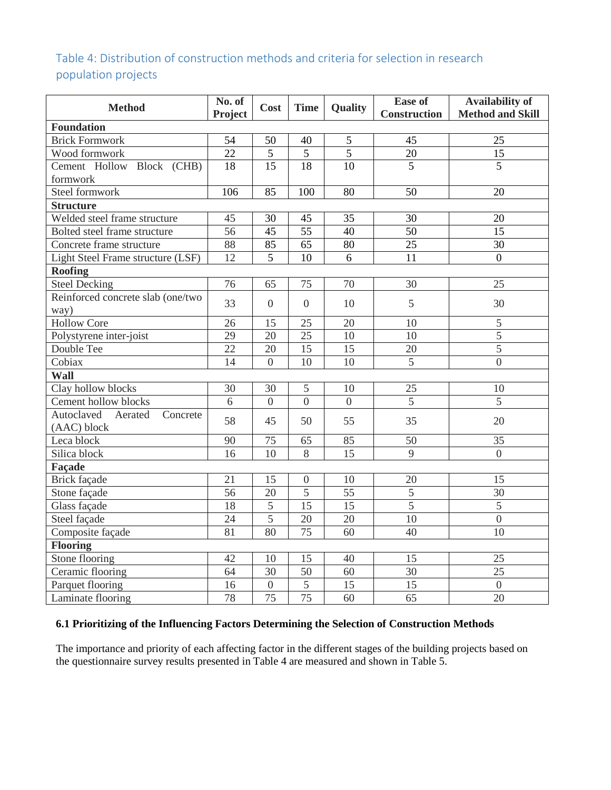## Table 4: Distribution of construction methods and criteria for selection in research population projects

| <b>Method</b>                     | No. of<br>Project | Cost            | <b>Time</b>      | Quality         | <b>Ease of</b><br><b>Construction</b> | <b>Availability of</b><br><b>Method and Skill</b> |  |
|-----------------------------------|-------------------|-----------------|------------------|-----------------|---------------------------------------|---------------------------------------------------|--|
| <b>Foundation</b>                 |                   |                 |                  |                 |                                       |                                                   |  |
| <b>Brick Formwork</b>             | 54                | 50              | 40               | 5               | 45                                    | 25                                                |  |
| Wood formwork                     | 22                | 5               | 5                | 5               | 20                                    | 15                                                |  |
| Cement Hollow Block (CHB)         | 18                | 15              | 18               | 10              | $\overline{5}$                        | $\overline{5}$                                    |  |
| formwork                          |                   |                 |                  |                 |                                       |                                                   |  |
| Steel formwork                    | 106               | 85              | 100              | 80              | 50                                    | 20                                                |  |
| <b>Structure</b>                  |                   |                 |                  |                 |                                       |                                                   |  |
| Welded steel frame structure      | 45                | 30              | 45               | 35              | 30                                    | 20                                                |  |
| Bolted steel frame structure      | 56                | 45              | 55               | 40              | 50                                    | 15                                                |  |
| Concrete frame structure          | 88                | 85              | 65               | 80              | 25                                    | $\overline{30}$                                   |  |
| Light Steel Frame structure (LSF) | 12                | $\overline{5}$  | 10               | 6               | 11                                    | $\overline{0}$                                    |  |
| <b>Roofing</b>                    |                   |                 |                  |                 |                                       |                                                   |  |
| <b>Steel Decking</b>              | 76                | 65              | 75               | 70              | 30                                    | $\overline{25}$                                   |  |
| Reinforced concrete slab (one/two | 33                | $\overline{0}$  | $\overline{0}$   | 10              | 5                                     | 30                                                |  |
| way)                              |                   |                 |                  |                 |                                       |                                                   |  |
| Hollow Core                       | 26                | 15              | 25               | 20              | 10                                    | 5                                                 |  |
| Polystyrene inter-joist           | 29                | 20              | 25               | 10              | 10                                    | 5                                                 |  |
| Double Tee                        | 22                | 20              | 15               | 15              | 20                                    | $\overline{5}$                                    |  |
| Cobiax                            | 14                | $\overline{0}$  | 10               | 10              | $\overline{5}$                        | $\overline{0}$                                    |  |
| <b>Wall</b>                       |                   |                 |                  |                 |                                       |                                                   |  |
| Clay hollow blocks                | 30                | 30              | 5                | 10              | 25                                    | 10                                                |  |
| Cement hollow blocks              | 6                 | $\theta$        | $\overline{0}$   | $\overline{0}$  | 5                                     | 5                                                 |  |
| Autoclaved<br>Aerated<br>Concrete | 58                | 45              | 50               | 55              | 35                                    | 20                                                |  |
| (AAC) block                       |                   |                 |                  |                 |                                       |                                                   |  |
| Leca block                        | 90                | 75              | 65               | 85              | 50                                    | 35                                                |  |
| Silica block                      | 16                | 10              | $\overline{8}$   | 15              | 9                                     | $\overline{0}$                                    |  |
| Façade                            |                   |                 |                  |                 |                                       |                                                   |  |
| <b>Brick façade</b>               | 21                | 15              | $\boldsymbol{0}$ | 10              | 20                                    | 15                                                |  |
| Stone façade                      | 56                | 20              | 5                | 55              | 5                                     | 30                                                |  |
| Glass façade                      | 18                | $\mathfrak s$   | 15               | 15              | 5                                     | 5                                                 |  |
| Steel façade                      | 24                | 5               | 20               | 20              | 10                                    | $\overline{0}$                                    |  |
| Composite façade                  | 81                | 80              | 75               | 60              | 40                                    | 10                                                |  |
| <b>Flooring</b>                   |                   |                 |                  |                 |                                       |                                                   |  |
| Stone flooring                    | 42                | 10              | 15               | 40              | 15                                    | 25                                                |  |
| Ceramic flooring                  | 64                | 30              | 50               | 60              | 30                                    | 25                                                |  |
| Parquet flooring                  | 16                | $\overline{0}$  | $\overline{5}$   | 15              | 15                                    | $\overline{0}$                                    |  |
| Laminate flooring                 | 78                | $\overline{75}$ | $\overline{75}$  | $\overline{60}$ | $\overline{65}$                       | $\overline{20}$                                   |  |

## **6.1 Prioritizing of the Influencing Factors Determining the Selection of Construction Methods**

The importance and priority of each affecting factor in the different stages of the building projects based on the questionnaire survey results presented in Table 4 are measured and shown in Table 5.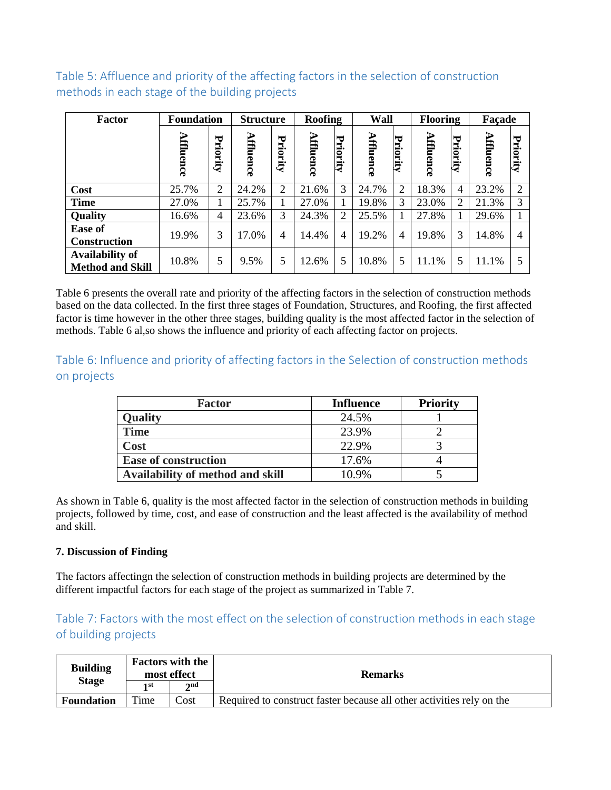Table 5: Affluence and priority of the affecting factors in the selection of construction methods in each stage of the building projects

| <b>Factor</b>                                     | <b>Foundation</b> |          | <b>Structure</b> |              | Roofing   |                | Wall      |                | <b>Flooring</b> |                   | Façade    |                |
|---------------------------------------------------|-------------------|----------|------------------|--------------|-----------|----------------|-----------|----------------|-----------------|-------------------|-----------|----------------|
|                                                   | Ξ<br>luence       | Priority | Affluence        | ₩<br>riority | Affluence | Priority       | Affluence | ℸ<br>riority   | Affluence       | 宝<br>Ξ.<br>iority | Affluence | ℸ<br>riority   |
| Cost                                              | 25.7%             | 2        | 24.2%            | 2            | 21.6%     | 3              | 24.7%     | $\overline{2}$ | 18.3%           | $\overline{4}$    | 23.2%     | $\overline{2}$ |
| <b>Time</b>                                       | 27.0%             |          | 25.7%            |              | 27.0%     |                | 19.8%     | 3              | 23.0%           | 2                 | 21.3%     | 3              |
| <b>Quality</b>                                    | 16.6%             | 4        | 23.6%            | 3            | 24.3%     | $\overline{2}$ | 25.5%     | 1              | 27.8%           |                   | 29.6%     |                |
| <b>Ease of</b><br><b>Construction</b>             | 19.9%             | 3        | 17.0%            | 4            | 14.4%     | $\overline{4}$ | 19.2%     | $\overline{4}$ | 19.8%           | 3                 | 14.8%     | 4              |
| <b>Availability of</b><br><b>Method and Skill</b> | 10.8%             | 5        | 9.5%             | 5            | 12.6%     | 5              | 10.8%     | 5              | 11.1%           | 5                 | 11.1%     |                |

Table 6 presents the overall rate and priority of the affecting factors in the selection of construction methods based on the data collected. In the first three stages of Foundation, Structures, and Roofing, the first affected factor is time however in the other three stages, building quality is the most affected factor in the selection of methods. Table 6 al,so shows the influence and priority of each affecting factor on projects.

Table 6: Influence and priority of affecting factors in the Selection of construction methods on projects

| <b>Factor</b>                    | <b>Influence</b> | <b>Priority</b> |
|----------------------------------|------------------|-----------------|
| <b>Quality</b>                   | 24.5%            |                 |
| Time                             | 23.9%            |                 |
| Cost                             | 22.9%            |                 |
| <b>Ease of construction</b>      | 17.6%            |                 |
| Availability of method and skill | 10.9%            |                 |

As shown in Table 6, quality is the most affected factor in the selection of construction methods in building projects, followed by time, cost, and ease of construction and the least affected is the availability of method and skill.

## **7. Discussion of Finding**

The factors affectingn the selection of construction methods in building projects are determined by the different impactful factors for each stage of the project as summarized in Table 7.

## Table 7: Factors with the most effect on the selection of construction methods in each stage of building projects

| <b>Building</b>   | <b>Factors with the</b><br>most effect |       | <b>Remarks</b>                                                        |  |  |
|-------------------|----------------------------------------|-------|-----------------------------------------------------------------------|--|--|
| <b>Stage</b>      | 1 st                                   | 2nd   |                                                                       |  |  |
| <b>Foundation</b> | $T$ ime                                | Cost: | Required to construct faster because all other activities rely on the |  |  |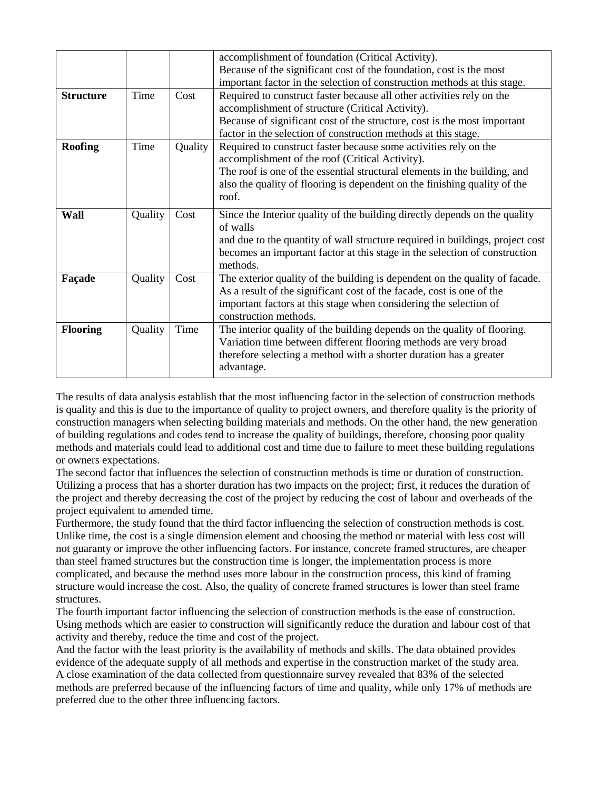|                  |         |         | accomplishment of foundation (Critical Activity).                             |
|------------------|---------|---------|-------------------------------------------------------------------------------|
|                  |         |         | Because of the significant cost of the foundation, cost is the most           |
|                  |         |         | important factor in the selection of construction methods at this stage.      |
| <b>Structure</b> | Time    | Cost    | Required to construct faster because all other activities rely on the         |
|                  |         |         | accomplishment of structure (Critical Activity).                              |
|                  |         |         | Because of significant cost of the structure, cost is the most important      |
|                  |         |         | factor in the selection of construction methods at this stage.                |
| <b>Roofing</b>   | Time    | Quality | Required to construct faster because some activities rely on the              |
|                  |         |         | accomplishment of the roof (Critical Activity).                               |
|                  |         |         | The roof is one of the essential structural elements in the building, and     |
|                  |         |         | also the quality of flooring is dependent on the finishing quality of the     |
|                  |         |         | roof.                                                                         |
| Wall             | Quality | Cost    | Since the Interior quality of the building directly depends on the quality    |
|                  |         |         | of walls                                                                      |
|                  |         |         | and due to the quantity of wall structure required in buildings, project cost |
|                  |         |         | becomes an important factor at this stage in the selection of construction    |
|                  |         |         | methods.                                                                      |
| Façade           | Quality | Cost    | The exterior quality of the building is dependent on the quality of facade.   |
|                  |         |         | As a result of the significant cost of the facade, cost is one of the         |
|                  |         |         | important factors at this stage when considering the selection of             |
|                  |         |         | construction methods.                                                         |
| <b>Flooring</b>  | Quality | Time    | The interior quality of the building depends on the quality of flooring.      |
|                  |         |         | Variation time between different flooring methods are very broad              |
|                  |         |         | therefore selecting a method with a shorter duration has a greater            |
|                  |         |         | advantage.                                                                    |
|                  |         |         |                                                                               |

The results of data analysis establish that the most influencing factor in the selection of construction methods is quality and this is due to the importance of quality to project owners, and therefore quality is the priority of construction managers when selecting building materials and methods. On the other hand, the new generation of building regulations and codes tend to increase the quality of buildings, therefore, choosing poor quality methods and materials could lead to additional cost and time due to failure to meet these building regulations or owners expectations.

The second factor that influences the selection of construction methods is time or duration of construction. Utilizing a process that has a shorter duration has two impacts on the project; first, it reduces the duration of the project and thereby decreasing the cost of the project by reducing the cost of labour and overheads of the project equivalent to amended time.

Furthermore, the study found that the third factor influencing the selection of construction methods is cost. Unlike time, the cost is a single dimension element and choosing the method or material with less cost will not guaranty or improve the other influencing factors. For instance, concrete framed structures, are cheaper than steel framed structures but the construction time is longer, the implementation process is more complicated, and because the method uses more labour in the construction process, this kind of framing structure would increase the cost. Also, the quality of concrete framed structures is lower than steel frame structures.

The fourth important factor influencing the selection of construction methods is the ease of construction. Using methods which are easier to construction will significantly reduce the duration and labour cost of that activity and thereby, reduce the time and cost of the project.

And the factor with the least priority is the availability of methods and skills. The data obtained provides evidence of the adequate supply of all methods and expertise in the construction market of the study area. A close examination of the data collected from questionnaire survey revealed that 83% of the selected methods are preferred because of the influencing factors of time and quality, while only 17% of methods are preferred due to the other three influencing factors.